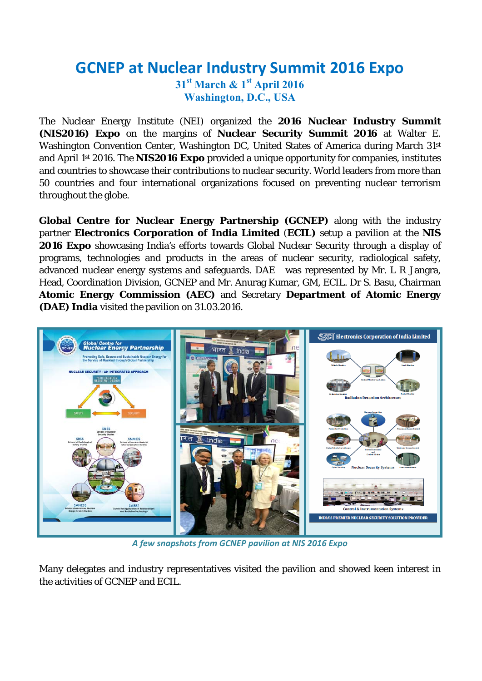## **GCNEP at Nuclear Industry Summit 2016 Expo 31st March & 1st April 2016 Washington, D.C., USA**

The Nuclear Energy Institute (NEI) organized the **2016 Nuclear Industry Summit (NIS2016) Expo** on the margins of **Nuclear Security Summit 2016** at Walter E. Washington Convention Center, Washington DC, United States of America during March 31st and April 1st 2016. The **NIS2016 Expo** provided a unique opportunity for companies, institutes and countries to showcase their contributions to nuclear security. World leaders from more than 50 countries and four international organizations focused on preventing nuclear terrorism throughout the globe.

**Global Centre for Nuclear Energy Partnership (GCNEP)** along with the industry partner **Electronics Corporation of India Limited** (**ECIL)** setup a pavilion at the **NIS 2016 Expo** showcasing India's efforts towards Global Nuclear Security through a display of programs, technologies and products in the areas of nuclear security, radiological safety, advanced nuclear energy systems and safeguards. DAE was represented by Mr. L R Jangra, Head, Coordination Division, GCNEP and Mr. Anurag Kumar, GM, ECIL. Dr S. Basu, Chairman **Atomic Energy Commission (AEC)** and Secretary **Department of Atomic Energy (DAE) India** visited the pavilion on 31.03.2016.



*A few snapshots from GCNEP pavilion at NIS 2016 Expo*

Many delegates and industry representatives visited the pavilion and showed keen interest in the activities of GCNEP and ECIL.